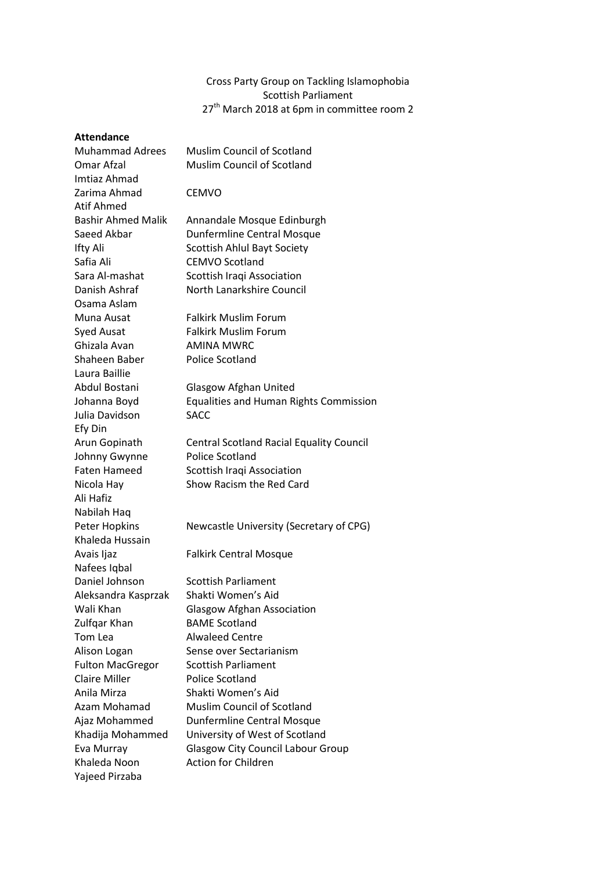# Cross Party Group on Tackling Islamophobia Scottish Parliament 27<sup>th</sup> March 2018 at 6pm in committee room 2

# **Attendance**

| Allenuance                |                                                 |
|---------------------------|-------------------------------------------------|
| <b>Muhammad Adrees</b>    | <b>Muslim Council of Scotland</b>               |
| Omar Afzal                | <b>Muslim Council of Scotland</b>               |
| Imtiaz Ahmad              |                                                 |
| Zarima Ahmad              | <b>CEMVO</b>                                    |
| Atif Ahmed                |                                                 |
| <b>Bashir Ahmed Malik</b> | Annandale Mosque Edinburgh                      |
| Saeed Akbar               | <b>Dunfermline Central Mosque</b>               |
| Ifty Ali                  | <b>Scottish Ahlul Bayt Society</b>              |
| Safia Ali                 | <b>CEMVO Scotland</b>                           |
| Sara Al-mashat            | Scottish Iraqi Association                      |
| Danish Ashraf             | North Lanarkshire Council                       |
| Osama Aslam               |                                                 |
| Muna Ausat                | <b>Falkirk Muslim Forum</b>                     |
| <b>Syed Ausat</b>         | <b>Falkirk Muslim Forum</b>                     |
| Ghizala Avan              | <b>AMINA MWRC</b>                               |
| Shaheen Baber             | <b>Police Scotland</b>                          |
| Laura Baillie             |                                                 |
| Abdul Bostani             | <b>Glasgow Afghan United</b>                    |
| Johanna Boyd              | <b>Equalities and Human Rights Commission</b>   |
| Julia Davidson            | <b>SACC</b>                                     |
| Efy Din                   |                                                 |
| Arun Gopinath             | <b>Central Scotland Racial Equality Council</b> |
| Johnny Gwynne             | Police Scotland                                 |
| <b>Faten Hameed</b>       | Scottish Iraqi Association                      |
| Nicola Hay                | Show Racism the Red Card                        |
| Ali Hafiz                 |                                                 |
| Nabilah Haq               |                                                 |
| Peter Hopkins             | Newcastle University (Secretary of CPG)         |
| Khaleda Hussain           |                                                 |
| Avais Ijaz                | <b>Falkirk Central Mosque</b>                   |
| Nafees Iqbal              |                                                 |
| Daniel Johnson            | <b>Scottish Parliament</b>                      |
| Aleksandra Kasprzak       | Shakti Women's Aid                              |
| Wali Khan                 | <b>Glasgow Afghan Association</b>               |
| Zulfgar Khan              | <b>BAME Scotland</b>                            |
| Tom Lea                   | <b>Alwaleed Centre</b>                          |
| Alison Logan              | Sense over Sectarianism                         |
| <b>Fulton MacGregor</b>   | <b>Scottish Parliament</b>                      |
| <b>Claire Miller</b>      | <b>Police Scotland</b>                          |
| Anila Mirza               | Shakti Women's Aid                              |
| Azam Mohamad              | Muslim Council of Scotland                      |
| Ajaz Mohammed             | Dunfermline Central Mosque                      |
| Khadija Mohammed          | University of West of Scotland                  |
| Eva Murray                | <b>Glasgow City Council Labour Group</b>        |
| Khaleda Noon              | <b>Action for Children</b>                      |
| Yajeed Pirzaba            |                                                 |
|                           |                                                 |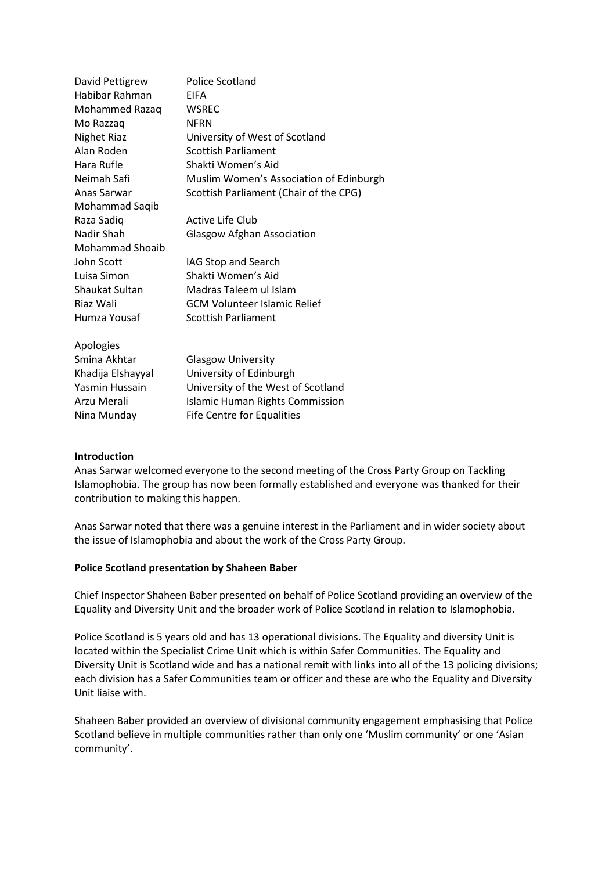| David Pettigrew        | <b>Police Scotland</b>                  |
|------------------------|-----------------------------------------|
| Habibar Rahman         | <b>FIFA</b>                             |
| Mohammed Razaq         | <b>WSREC</b>                            |
| Mo Razzaq              | <b>NFRN</b>                             |
| <b>Nighet Riaz</b>     | University of West of Scotland          |
| Alan Roden             | <b>Scottish Parliament</b>              |
| Hara Rufle             | Shakti Women's Aid                      |
| Neimah Safi            | Muslim Women's Association of Edinburgh |
| Anas Sarwar            | Scottish Parliament (Chair of the CPG)  |
| Mohammad Saqib         |                                         |
| Raza Sadiq             | Active Life Club                        |
| Nadir Shah             | <b>Glasgow Afghan Association</b>       |
| <b>Mohammad Shoaib</b> |                                         |
| John Scott             | IAG Stop and Search                     |
| Luisa Simon            | Shakti Women's Aid                      |
| Shaukat Sultan         | Madras Taleem ul Islam                  |
| Riaz Wali              | <b>GCM Volunteer Islamic Relief</b>     |
| Humza Yousaf           | <b>Scottish Parliament</b>              |
| Apologies              |                                         |
| Smina Akhtar           | <b>Glasgow University</b>               |
| Khadija Elshayyal      | University of Edinburgh                 |
| Yasmin Hussain         | University of the West of Scotland      |
| Arzu Merali            | <b>Islamic Human Rights Commission</b>  |

#### **Introduction**

Anas Sarwar welcomed everyone to the second meeting of the Cross Party Group on Tackling Islamophobia. The group has now been formally established and everyone was thanked for their contribution to making this happen.

Anas Sarwar noted that there was a genuine interest in the Parliament and in wider society about the issue of Islamophobia and about the work of the Cross Party Group.

#### **Police Scotland presentation by Shaheen Baber**

Nina Munday Fife Centre for Equalities

Chief Inspector Shaheen Baber presented on behalf of Police Scotland providing an overview of the Equality and Diversity Unit and the broader work of Police Scotland in relation to Islamophobia.

Police Scotland is 5 years old and has 13 operational divisions. The Equality and diversity Unit is located within the Specialist Crime Unit which is within Safer Communities. The Equality and Diversity Unit is Scotland wide and has a national remit with links into all of the 13 policing divisions; each division has a Safer Communities team or officer and these are who the Equality and Diversity Unit liaise with.

Shaheen Baber provided an overview of divisional community engagement emphasising that Police Scotland believe in multiple communities rather than only one 'Muslim community' or one 'Asian community'.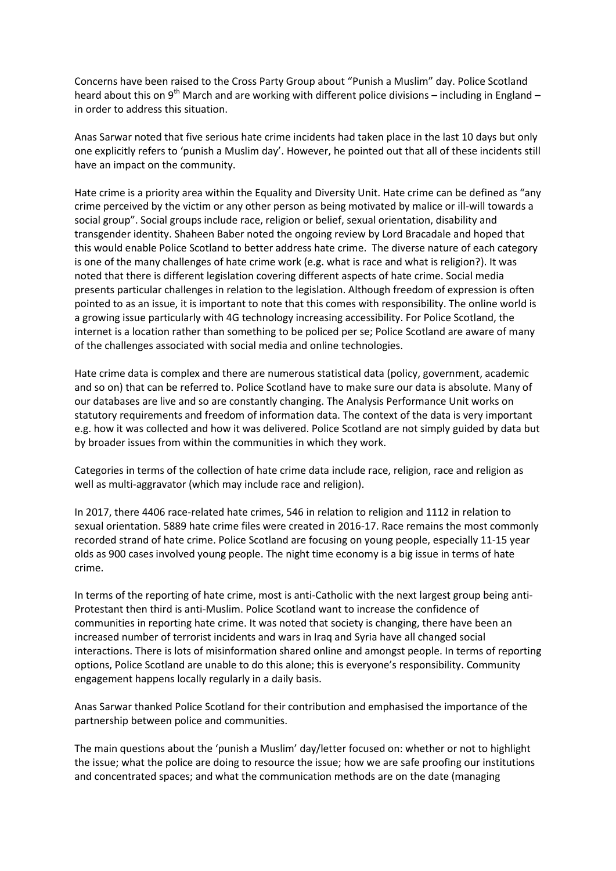Concerns have been raised to the Cross Party Group about "Punish a Muslim" day. Police Scotland heard about this on 9<sup>th</sup> March and are working with different police divisions – including in England – in order to address this situation.

Anas Sarwar noted that five serious hate crime incidents had taken place in the last 10 days but only one explicitly refers to 'punish a Muslim day'. However, he pointed out that all of these incidents still have an impact on the community.

Hate crime is a priority area within the Equality and Diversity Unit. Hate crime can be defined as "any crime perceived by the victim or any other person as being motivated by malice or ill-will towards a social group". Social groups include race, religion or belief, sexual orientation, disability and transgender identity. Shaheen Baber noted the ongoing review by Lord Bracadale and hoped that this would enable Police Scotland to better address hate crime. The diverse nature of each category is one of the many challenges of hate crime work (e.g. what is race and what is religion?). It was noted that there is different legislation covering different aspects of hate crime. Social media presents particular challenges in relation to the legislation. Although freedom of expression is often pointed to as an issue, it is important to note that this comes with responsibility. The online world is a growing issue particularly with 4G technology increasing accessibility. For Police Scotland, the internet is a location rather than something to be policed per se; Police Scotland are aware of many of the challenges associated with social media and online technologies.

Hate crime data is complex and there are numerous statistical data (policy, government, academic and so on) that can be referred to. Police Scotland have to make sure our data is absolute. Many of our databases are live and so are constantly changing. The Analysis Performance Unit works on statutory requirements and freedom of information data. The context of the data is very important e.g. how it was collected and how it was delivered. Police Scotland are not simply guided by data but by broader issues from within the communities in which they work.

Categories in terms of the collection of hate crime data include race, religion, race and religion as well as multi-aggravator (which may include race and religion).

In 2017, there 4406 race-related hate crimes, 546 in relation to religion and 1112 in relation to sexual orientation. 5889 hate crime files were created in 2016-17. Race remains the most commonly recorded strand of hate crime. Police Scotland are focusing on young people, especially 11-15 year olds as 900 cases involved young people. The night time economy is a big issue in terms of hate crime.

In terms of the reporting of hate crime, most is anti-Catholic with the next largest group being anti-Protestant then third is anti-Muslim. Police Scotland want to increase the confidence of communities in reporting hate crime. It was noted that society is changing, there have been an increased number of terrorist incidents and wars in Iraq and Syria have all changed social interactions. There is lots of misinformation shared online and amongst people. In terms of reporting options, Police Scotland are unable to do this alone; this is everyone's responsibility. Community engagement happens locally regularly in a daily basis.

Anas Sarwar thanked Police Scotland for their contribution and emphasised the importance of the partnership between police and communities.

The main questions about the 'punish a Muslim' day/letter focused on: whether or not to highlight the issue; what the police are doing to resource the issue; how we are safe proofing our institutions and concentrated spaces; and what the communication methods are on the date (managing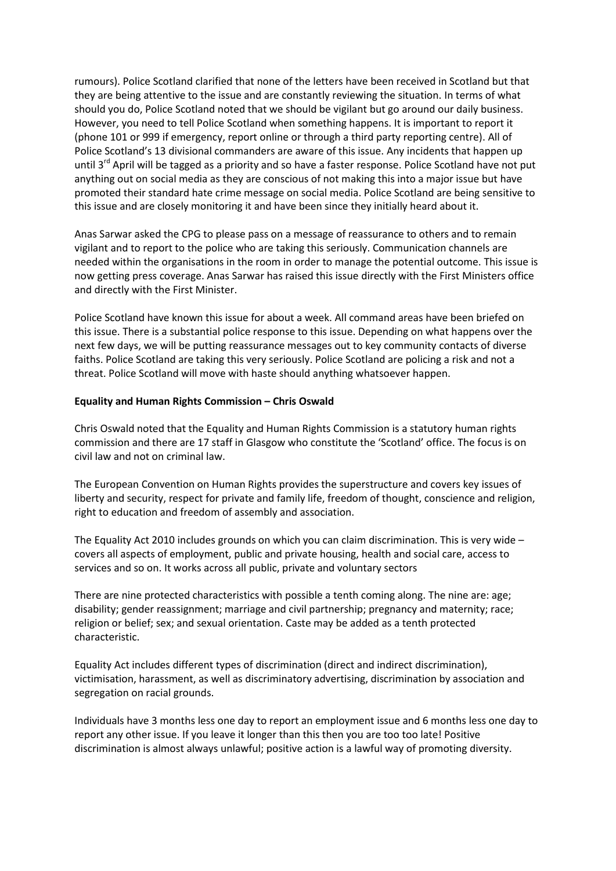rumours). Police Scotland clarified that none of the letters have been received in Scotland but that they are being attentive to the issue and are constantly reviewing the situation. In terms of what should you do, Police Scotland noted that we should be vigilant but go around our daily business. However, you need to tell Police Scotland when something happens. It is important to report it (phone 101 or 999 if emergency, report online or through a third party reporting centre). All of Police Scotland's 13 divisional commanders are aware of this issue. Any incidents that happen up until  $3<sup>rd</sup>$  April will be tagged as a priority and so have a faster response. Police Scotland have not put anything out on social media as they are conscious of not making this into a major issue but have promoted their standard hate crime message on social media. Police Scotland are being sensitive to this issue and are closely monitoring it and have been since they initially heard about it.

Anas Sarwar asked the CPG to please pass on a message of reassurance to others and to remain vigilant and to report to the police who are taking this seriously. Communication channels are needed within the organisations in the room in order to manage the potential outcome. This issue is now getting press coverage. Anas Sarwar has raised this issue directly with the First Ministers office and directly with the First Minister.

Police Scotland have known this issue for about a week. All command areas have been briefed on this issue. There is a substantial police response to this issue. Depending on what happens over the next few days, we will be putting reassurance messages out to key community contacts of diverse faiths. Police Scotland are taking this very seriously. Police Scotland are policing a risk and not a threat. Police Scotland will move with haste should anything whatsoever happen.

## **Equality and Human Rights Commission – Chris Oswald**

Chris Oswald noted that the Equality and Human Rights Commission is a statutory human rights commission and there are 17 staff in Glasgow who constitute the 'Scotland' office. The focus is on civil law and not on criminal law.

The European Convention on Human Rights provides the superstructure and covers key issues of liberty and security, respect for private and family life, freedom of thought, conscience and religion, right to education and freedom of assembly and association.

The Equality Act 2010 includes grounds on which you can claim discrimination. This is very wide – covers all aspects of employment, public and private housing, health and social care, access to services and so on. It works across all public, private and voluntary sectors

There are nine protected characteristics with possible a tenth coming along. The nine are: age; disability; gender reassignment; marriage and civil partnership; pregnancy and maternity; race; religion or belief; sex; and sexual orientation. Caste may be added as a tenth protected characteristic.

Equality Act includes different types of discrimination (direct and indirect discrimination), victimisation, harassment, as well as discriminatory advertising, discrimination by association and segregation on racial grounds.

Individuals have 3 months less one day to report an employment issue and 6 months less one day to report any other issue. If you leave it longer than this then you are too too late! Positive discrimination is almost always unlawful; positive action is a lawful way of promoting diversity.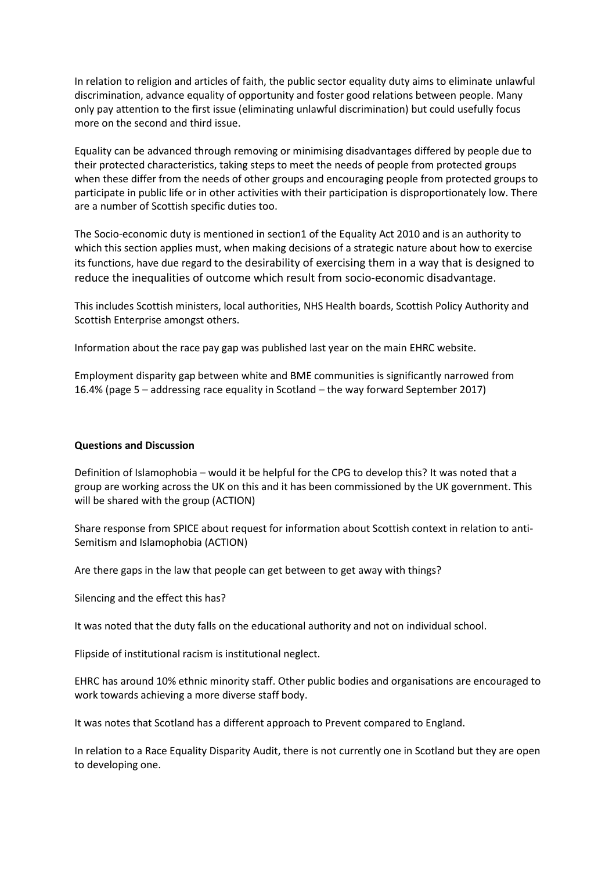In relation to religion and articles of faith, the public sector equality duty aims to eliminate unlawful discrimination, advance equality of opportunity and foster good relations between people. Many only pay attention to the first issue (eliminating unlawful discrimination) but could usefully focus more on the second and third issue.

Equality can be advanced through removing or minimising disadvantages differed by people due to their protected characteristics, taking steps to meet the needs of people from protected groups when these differ from the needs of other groups and encouraging people from protected groups to participate in public life or in other activities with their participation is disproportionately low. There are a number of Scottish specific duties too.

The Socio-economic duty is mentioned in section1 of the Equality Act 2010 and is an authority to which this section applies must, when making decisions of a strategic nature about how to exercise its functions, have due regard to the desirability of exercising them in a way that is designed to reduce the inequalities of outcome which result from socio-economic disadvantage.

This includes Scottish ministers, local authorities, NHS Health boards, Scottish Policy Authority and Scottish Enterprise amongst others.

Information about the race pay gap was published last year on the main EHRC website.

Employment disparity gap between white and BME communities is significantly narrowed from 16.4% (page 5 – addressing race equality in Scotland – the way forward September 2017)

## **Questions and Discussion**

Definition of Islamophobia – would it be helpful for the CPG to develop this? It was noted that a group are working across the UK on this and it has been commissioned by the UK government. This will be shared with the group (ACTION)

Share response from SPICE about request for information about Scottish context in relation to anti-Semitism and Islamophobia (ACTION)

Are there gaps in the law that people can get between to get away with things?

Silencing and the effect this has?

It was noted that the duty falls on the educational authority and not on individual school.

Flipside of institutional racism is institutional neglect.

EHRC has around 10% ethnic minority staff. Other public bodies and organisations are encouraged to work towards achieving a more diverse staff body.

It was notes that Scotland has a different approach to Prevent compared to England.

In relation to a Race Equality Disparity Audit, there is not currently one in Scotland but they are open to developing one.